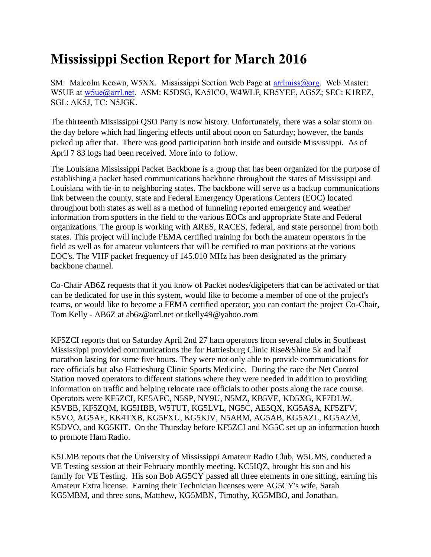## **Mississippi Section Report for March 2016**

SM: Malcolm Keown, W5XX. Mississippi Section Web Page at [arrlmiss@org.](mailto:arrlmiss@org) Web Master: W5UE at w<sub>5ue</sub>@arrl.net. ASM: K5DSG, KA5ICO, W4WLF, KB5YEE, AG5Z; SEC: K1REZ, SGL: AK5J, TC: N5JGK.

The thirteenth Mississippi QSO Party is now history. Unfortunately, there was a solar storm on the day before which had lingering effects until about noon on Saturday; however, the bands picked up after that. There was good participation both inside and outside Mississippi. As of April 7 83 logs had been received. More info to follow.

The Louisiana Mississippi Packet Backbone is a group that has been organized for the purpose of establishing a packet based communications backbone throughout the states of Mississippi and Louisiana with tie-in to neighboring states. The backbone will serve as a backup communications link between the county, state and Federal Emergency Operations Centers (EOC) located throughout both states as well as a method of funneling reported emergency and weather information from spotters in the field to the various EOCs and appropriate State and Federal organizations. The group is working with ARES, RACES, federal, and state personnel from both states. This project will include FEMA certified training for both the amateur operators in the field as well as for amateur volunteers that will be certified to man positions at the various EOC's. The VHF packet frequency of 145.010 MHz has been designated as the primary backbone channel.

Co-Chair AB6Z requests that if you know of Packet nodes/digipeters that can be activated or that can be dedicated for use in this system, would like to become a member of one of the project's teams, or would like to become a FEMA certified operator, you can contact the project Co-Chair, Tom Kelly - AB6Z at ab6z@arrl.net or tkelly49@yahoo.com

KF5ZCI reports that on Saturday April 2nd 27 ham operators from several clubs in Southeast Mississippi provided communications the for Hattiesburg Clinic Rise&Shine 5k and half marathon lasting for some five hours. They were not only able to provide communications for race officials but also Hattiesburg Clinic Sports Medicine. During the race the Net Control Station moved operators to different stations where they were needed in addition to providing information on traffic and helping relocate race officials to other posts along the race course. Operators were KF5ZCI, KE5AFC, N5SP, NY9U, N5MZ, KB5VE, KD5XG, KF7DLW, K5VBB, KF5ZQM, KG5HBB, W5TUT, KG5LVL, NG5C, AE5QX, KG5ASA, KF5ZFV, K5VO, AG5AE, KK4TXB, KG5FXU, KG5KIV, N5ARM, AG5AB, KG5AZL, KG5AZM, K5DVO, and KG5KIT. On the Thursday before KF5ZCI and NG5C set up an information booth to promote Ham Radio.

K5LMB reports that the University of Mississippi Amateur Radio Club, W5UMS, conducted a VE Testing session at their February monthly meeting. KC5IQZ, brought his son and his family for VE Testing. His son Bob AG5CY passed all three elements in one sitting, earning his Amateur Extra license. Earning their Technician licenses were AG5CY's wife, Sarah KG5MBM, and three sons, Matthew, KG5MBN, Timothy, KG5MBO, and Jonathan,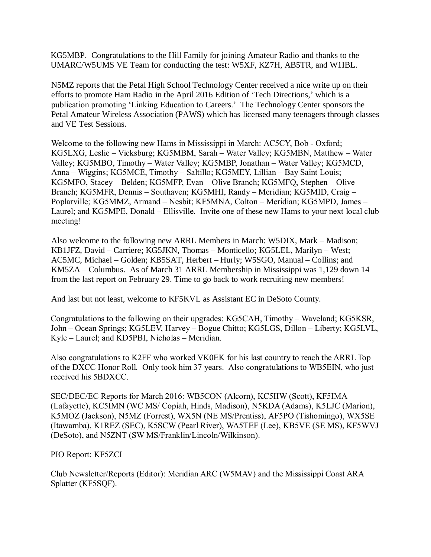KG5MBP. Congratulations to the Hill Family for joining Amateur Radio and thanks to the UMARC/W5UMS VE Team for conducting the test: W5XF, KZ7H, AB5TR, and W1IBL.

N5MZ reports that the Petal High School Technology Center received a nice write up on their efforts to promote Ham Radio in the April 2016 Edition of 'Tech Directions,' which is a publication promoting 'Linking Education to Careers.' The Technology Center sponsors the Petal Amateur Wireless Association (PAWS) which has licensed many teenagers through classes and VE Test Sessions.

Welcome to the following new Hams in Mississippi in March: AC5CY, Bob - Oxford; KG5LXG, Leslie – Vicksburg; KG5MBM, Sarah – Water Valley; KG5MBN, Matthew – Water Valley; KG5MBO, Timothy – Water Valley; KG5MBP, Jonathan – Water Valley; KG5MCD, Anna – Wiggins; KG5MCE, Timothy – Saltillo; KG5MEY, Lillian – Bay Saint Louis; KG5MFO, Stacey – Belden; KG5MFP, Evan – Olive Branch; KG5MFQ, Stephen – Olive Branch; KG5MFR, Dennis – Southaven; KG5MHI, Randy – Meridian; KG5MID, Craig – Poplarville; KG5MMZ, Armand – Nesbit; KF5MNA, Colton – Meridian; KG5MPD, James – Laurel; and KG5MPE, Donald – Ellisville. Invite one of these new Hams to your next local club meeting!

Also welcome to the following new ARRL Members in March: W5DIX, Mark – Madison; KB1JFZ, David – Carriere; KG5JKN, Thomas – Monticello; KG5LEL, Marilyn – West; AC5MC, Michael – Golden; KB5SAT, Herbert – Hurly; W5SGO, Manual – Collins; and KM5ZA – Columbus. As of March 31 ARRL Membership in Mississippi was 1,129 down 14 from the last report on February 29. Time to go back to work recruiting new members!

And last but not least, welcome to KF5KVL as Assistant EC in DeSoto County.

Congratulations to the following on their upgrades: KG5CAH, Timothy – Waveland; KG5KSR, John – Ocean Springs; KG5LEV, Harvey – Bogue Chitto; KG5LGS, Dillon – Liberty; KG5LVL, Kyle – Laurel; and KD5PBI, Nicholas – Meridian.

Also congratulations to K2FF who worked VK0EK for his last country to reach the ARRL Top of the DXCC Honor Roll. Only took him 37 years. Also congratulations to WB5EIN, who just received his 5BDXCC.

SEC/DEC/EC Reports for March 2016: WB5CON (Alcorn), KC5IIW (Scott), KF5IMA (Lafayette), KC5IMN (WC MS/ Copiah, Hinds, Madison), N5KDA (Adams), K5LJC (Marion), K5MOZ (Jackson), N5MZ (Forrest), WX5N (NE MS/Prentiss), AF5PO (Tishomingo), WX5SE (Itawamba), K1REZ (SEC), K5SCW (Pearl River), WA5TEF (Lee), KB5VE (SE MS), KF5WVJ (DeSoto), and N5ZNT (SW MS/Franklin/Lincoln/Wilkinson).

## PIO Report: KF5ZCI

Club Newsletter/Reports (Editor): Meridian ARC (W5MAV) and the Mississippi Coast ARA Splatter (KF5SQF).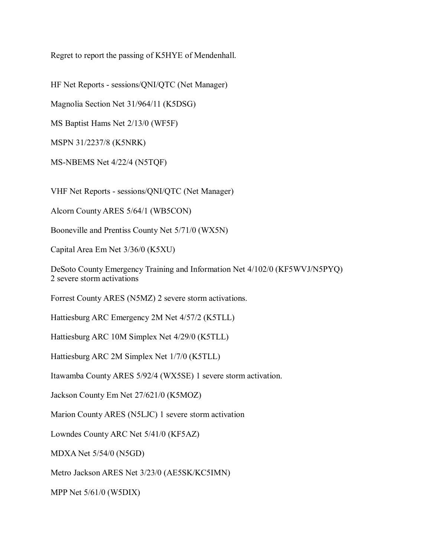Regret to report the passing of K5HYE of Mendenhall.

HF Net Reports - sessions/QNI/QTC (Net Manager)

Magnolia Section Net 31/964/11 (K5DSG)

MS Baptist Hams Net 2/13/0 (WF5F)

MSPN 31/2237/8 (K5NRK)

MS-NBEMS Net 4/22/4 (N5TQF)

VHF Net Reports - sessions/QNI/QTC (Net Manager)

Alcorn County ARES 5/64/1 (WB5CON)

Booneville and Prentiss County Net 5/71/0 (WX5N)

Capital Area Em Net 3/36/0 (K5XU)

DeSoto County Emergency Training and Information Net 4/102/0 (KF5WVJ/N5PYQ) 2 severe storm activations

Forrest County ARES (N5MZ) 2 severe storm activations.

Hattiesburg ARC Emergency 2M Net 4/57/2 (K5TLL)

Hattiesburg ARC 10M Simplex Net 4/29/0 (K5TLL)

Hattiesburg ARC 2M Simplex Net 1/7/0 (K5TLL)

Itawamba County ARES 5/92/4 (WX5SE) 1 severe storm activation.

Jackson County Em Net 27/621/0 (K5MOZ)

Marion County ARES (N5LJC) 1 severe storm activation

Lowndes County ARC Net 5/41/0 (KF5AZ)

MDXA Net 5/54/0 (N5GD)

Metro Jackson ARES Net 3/23/0 (AE5SK/KC5IMN)

MPP Net 5/61/0 (W5DIX)